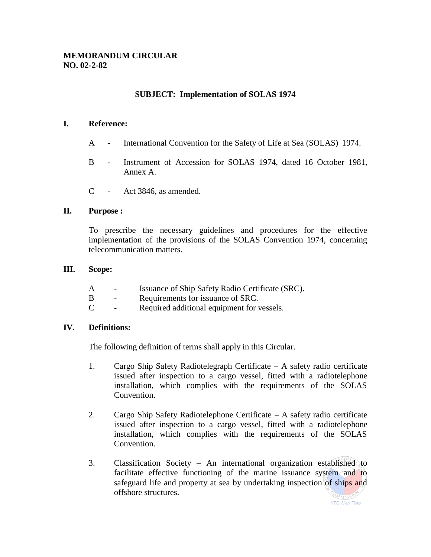## **SUBJECT: Implementation of SOLAS 1974**

#### **I. Reference:**

- A International Convention for the Safety of Life at Sea (SOLAS) 1974.
- B Instrument of Accession for SOLAS 1974, dated 16 October 1981, Annex A.
- C Act 3846, as amended.

#### **II. Purpose :**

To prescribe the necessary guidelines and procedures for the effective implementation of the provisions of the SOLAS Convention 1974, concerning telecommunication matters.

#### **III. Scope:**

- A Issuance of Ship Safety Radio Certificate (SRC).
- B Requirements for issuance of SRC.
- C Required additional equipment for vessels.

#### **IV. Definitions:**

The following definition of terms shall apply in this Circular.

- 1. Cargo Ship Safety Radiotelegraph Certificate A safety radio certificate issued after inspection to a cargo vessel, fitted with a radiotelephone installation, which complies with the requirements of the SOLAS Convention.
- 2. Cargo Ship Safety Radiotelephone Certificate A safety radio certificate issued after inspection to a cargo vessel, fitted with a radiotelephone installation, which complies with the requirements of the SOLAS Convention.
- 3. Classification Society An international organization established to facilitate effective functioning of the marine issuance system and to safeguard life and property at sea by undertaking inspection of ships and offshore structures.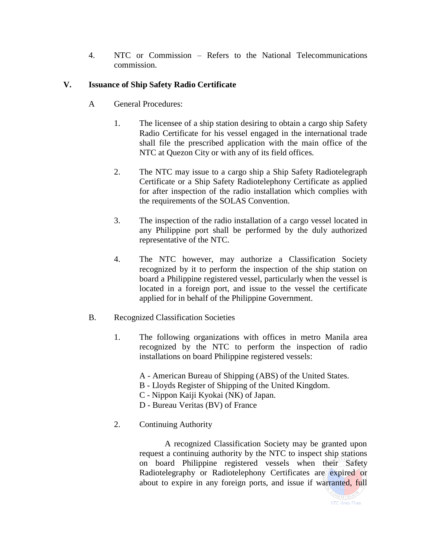4. NTC or Commission – Refers to the National Telecommunications commission.

# **V. Issuance of Ship Safety Radio Certificate**

- A General Procedures:
	- 1. The licensee of a ship station desiring to obtain a cargo ship Safety Radio Certificate for his vessel engaged in the international trade shall file the prescribed application with the main office of the NTC at Quezon City or with any of its field offices.
	- 2. The NTC may issue to a cargo ship a Ship Safety Radiotelegraph Certificate or a Ship Safety Radiotelephony Certificate as applied for after inspection of the radio installation which complies with the requirements of the SOLAS Convention.
	- 3. The inspection of the radio installation of a cargo vessel located in any Philippine port shall be performed by the duly authorized representative of the NTC.
	- 4. The NTC however, may authorize a Classification Society recognized by it to perform the inspection of the ship station on board a Philippine registered vessel, particularly when the vessel is located in a foreign port, and issue to the vessel the certificate applied for in behalf of the Philippine Government.
- B. Recognized Classification Societies
	- 1. The following organizations with offices in metro Manila area recognized by the NTC to perform the inspection of radio installations on board Philippine registered vessels:
		- A American Bureau of Shipping (ABS) of the United States.
		- B Lloyds Register of Shipping of the United Kingdom.
		- C Nippon Kaiji Kyokai (NK) of Japan.
		- D Bureau Veritas (BV) of France
	- 2. Continuing Authority

A recognized Classification Society may be granted upon request a continuing authority by the NTC to inspect ship stations on board Philippine registered vessels when their Safety Radiotelegraphy or Radiotelephony Certificates are expired or about to expire in any foreign ports, and issue if warranted, full

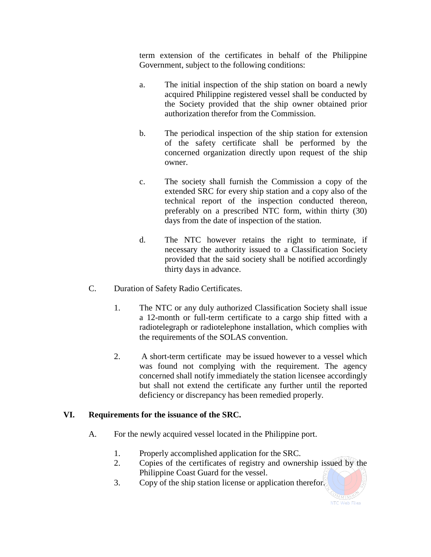term extension of the certificates in behalf of the Philippine Government, subject to the following conditions:

- a. The initial inspection of the ship station on board a newly acquired Philippine registered vessel shall be conducted by the Society provided that the ship owner obtained prior authorization therefor from the Commission.
- b. The periodical inspection of the ship station for extension of the safety certificate shall be performed by the concerned organization directly upon request of the ship owner.
- c. The society shall furnish the Commission a copy of the extended SRC for every ship station and a copy also of the technical report of the inspection conducted thereon, preferably on a prescribed NTC form, within thirty (30) days from the date of inspection of the station.
- d. The NTC however retains the right to terminate, if necessary the authority issued to a Classification Society provided that the said society shall be notified accordingly thirty days in advance.
- C. Duration of Safety Radio Certificates.
	- 1. The NTC or any duly authorized Classification Society shall issue a 12-month or full-term certificate to a cargo ship fitted with a radiotelegraph or radiotelephone installation, which complies with the requirements of the SOLAS convention.
	- 2. A short-term certificate may be issued however to a vessel which was found not complying with the requirement. The agency concerned shall notify immediately the station licensee accordingly but shall not extend the certificate any further until the reported deficiency or discrepancy has been remedied properly.

### **VI. Requirements for the issuance of the SRC.**

- A. For the newly acquired vessel located in the Philippine port.
	- 1. Properly accomplished application for the SRC.
	- 2. Copies of the certificates of registry and ownership issued by the Philippine Coast Guard for the vessel.
	- 3. Copy of the ship station license or application therefor.

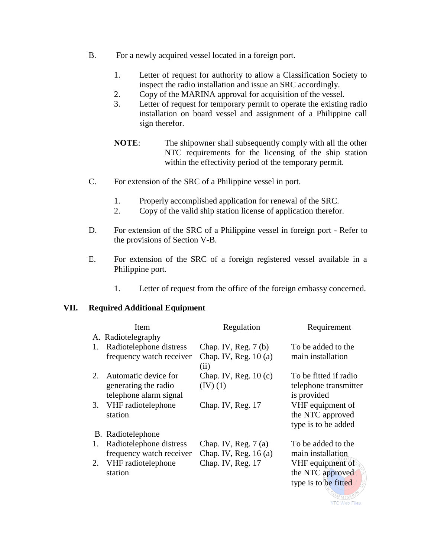- B. For a newly acquired vessel located in a foreign port.
	- 1. Letter of request for authority to allow a Classification Society to inspect the radio installation and issue an SRC accordingly.
	- 2. Copy of the MARINA approval for acquisition of the vessel.
	- 3. Letter of request for temporary permit to operate the existing radio installation on board vessel and assignment of a Philippine call sign therefor.
	- **NOTE**: The shipowner shall subsequently comply with all the other NTC requirements for the licensing of the ship station within the effectivity period of the temporary permit.
- C. For extension of the SRC of a Philippine vessel in port.
	- 1. Properly accomplished application for renewal of the SRC.
	- 2. Copy of the valid ship station license of application therefor.
- D. For extension of the SRC of a Philippine vessel in foreign port Refer to the provisions of Section V-B.
- E. For extension of the SRC of a foreign registered vessel available in a Philippine port.
	- 1. Letter of request from the office of the foreign embassy concerned.

#### **VII. Required Additional Equipment**

|    | Item                                                                   | Regulation                                              | Requirement                                                   |
|----|------------------------------------------------------------------------|---------------------------------------------------------|---------------------------------------------------------------|
|    | A. Radiotelegraphy                                                     |                                                         |                                                               |
| 1. | Radiotelephone distress<br>frequency watch receiver                    | Chap. IV, Reg. $7(b)$<br>Chap. IV, Reg. $10(a)$<br>(ii) | To be added to the<br>main installation                       |
| 2. | Automatic device for<br>generating the radio<br>telephone alarm signal | Chap. IV, Reg. $10(c)$<br>(IV) (1)                      | To be fitted if radio<br>telephone transmitter<br>is provided |
| 3. | VHF radiotelephone<br>station                                          | Chap. IV, Reg. 17                                       | VHF equipment of<br>the NTC approved<br>type is to be added   |
|    | B. Radiotelephone                                                      |                                                         |                                                               |
| 1. | Radiotelephone distress<br>frequency watch receiver                    | Chap. IV, Reg. $7(a)$<br>Chap. IV, Reg. $16(a)$         | To be added to the<br>main installation                       |
| 2. | VHF radiotelephone<br>station                                          | Chap. IV, Reg. 17                                       | VHF equipment of<br>the NTC approved<br>type is to be fitted  |